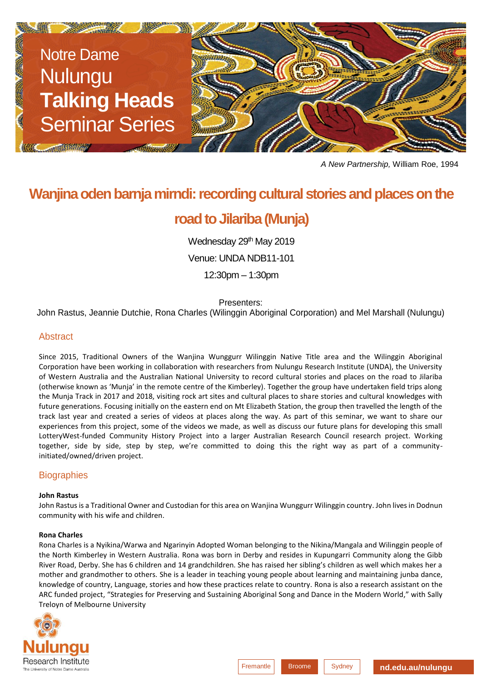

*A New Partnership,* William Roe, 1994

# **Wanjina oden barnja mirndi: recording cultural stories and places on the**

# **road to Jilariba (Munja)**

Wednesday 29th May 2019

Venue: UNDA NDB11-101

12:30pm – 1:30pm

Presenters:

John Rastus, Jeannie Dutchie, Rona Charles (Wilinggin Aboriginal Corporation) and Mel Marshall (Nulungu)

### Abstract

Since 2015, Traditional Owners of the Wanjina Wunggurr Wilinggin Native Title area and the Wilinggin Aboriginal Corporation have been working in collaboration with researchers from Nulungu Research Institute (UNDA), the University of Western Australia and the Australian National University to record cultural stories and places on the road to Jilariba (otherwise known as 'Munja' in the remote centre of the Kimberley). Together the group have undertaken field trips along the Munja Track in 2017 and 2018, visiting rock art sites and cultural places to share stories and cultural knowledges with future generations. Focusing initially on the eastern end on Mt Elizabeth Station, the group then travelled the length of the track last year and created a series of videos at places along the way. As part of this seminar, we want to share our experiences from this project, some of the videos we made, as well as discuss our future plans for developing this small LotteryWest-funded Community History Project into a larger Australian Research Council research project. Working together, side by side, step by step, we're committed to doing this the right way as part of a communityinitiated/owned/driven project.

## **Biographies**

#### **John Rastus**

John Rastus is a Traditional Owner and Custodian for this area on Wanjina Wunggurr Wilinggin country. John lives in Dodnun community with his wife and children.

#### **Rona Charles**

Rona Charles is a Nyikina/Warwa and Ngarinyin Adopted Woman belonging to the Nikina/Mangala and Wilinggin people of the North Kimberley in Western Australia. Rona was born in Derby and resides in Kupungarri Community along the Gibb River Road, Derby. She has 6 children and 14 grandchildren. She has raised her sibling's children as well which makes her a mother and grandmother to others. She is a leader in teaching young people about learning and maintaining junba dance, knowledge of country, Language, stories and how these practices relate to country. Rona is also a research assistant on the ARC funded project, "Strategies for Preserving and Sustaining Aboriginal Song and Dance in the Modern World," with Sally Treloyn of Melbourne University